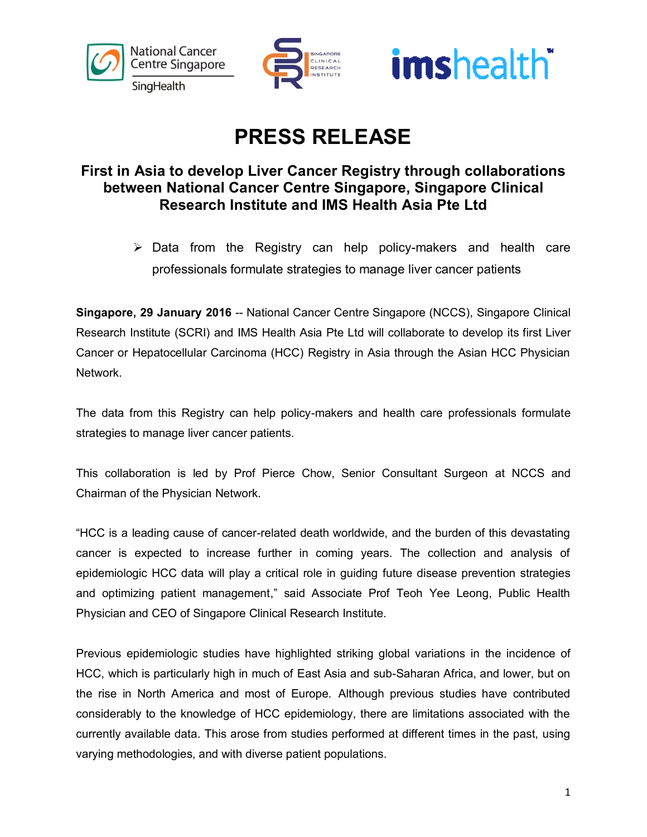





## **PRESS RELEASE**

### **First in Asia to develop Liver Cancer Registry through collaborations between National Cancer Centre Singapore, Singapore Clinical Research Institute and IMS Health Asia Pte Ltd**

 $\triangleright$  Data from the Registry can help policy-makers and health care professionals formulate strategies to manage liver cancer patients

**Singapore, 29 January 2016** -- National Cancer Centre Singapore (NCCS), Singapore Clinical Research Institute (SCRI) and IMS Health Asia Pte Ltd will collaborate to develop its first Liver Cancer or Hepatocellular Carcinoma (HCC) Registry in Asia through the Asian HCC Physician Network.

The data from this Registry can help policy-makers and health care professionals formulate strategies to manage liver cancer patients.

This collaboration is led by Prof Pierce Chow, Senior Consultant Surgeon at NCCS and Chairman of the Physician Network.

"HCC is a leading cause of cancer-related death worldwide, and the burden of this devastating cancer is expected to increase further in coming years. The collection and analysis of epidemiologic HCC data will play a critical role in guiding future disease prevention strategies and optimizing patient management," said Associate Prof Teoh Yee Leong, Public Health Physician and CEO of Singapore Clinical Research Institute.

Previous epidemiologic studies have highlighted striking global variations in the incidence of HCC, which is particularly high in much of East Asia and sub-Saharan Africa, and lower, but on the rise in North America and most of Europe. Although previous studies have contributed considerably to the knowledge of HCC epidemiology, there are limitations associated with the currently available data. This arose from studies performed at different times in the past, using varying methodologies, and with diverse patient populations.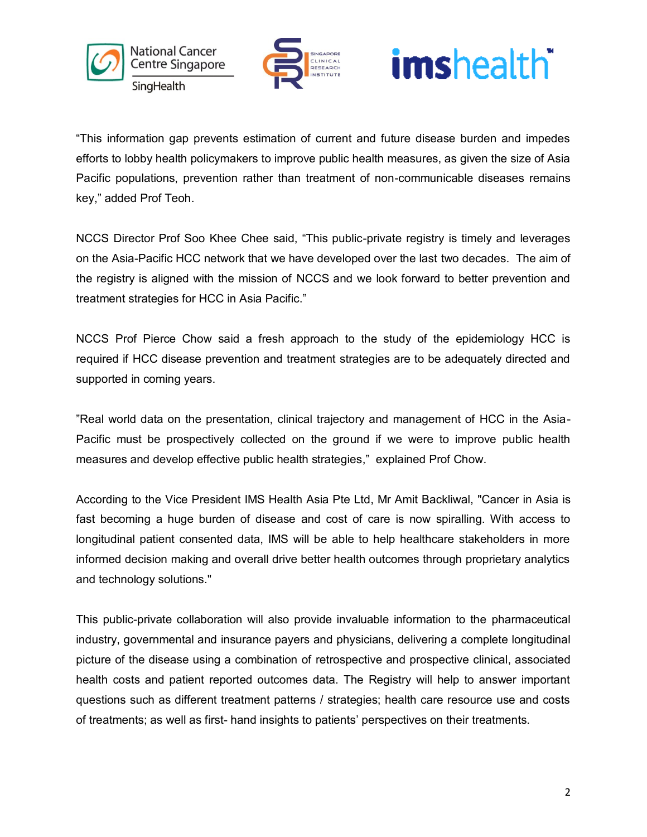



# imshealth<sup>-</sup>

"This information gap prevents estimation of current and future disease burden and impedes efforts to lobby health policymakers to improve public health measures, as given the size of Asia Pacific populations, prevention rather than treatment of non-communicable diseases remains key," added Prof Teoh.

NCCS Director Prof Soo Khee Chee said, "This public-private registry is timely and leverages on the Asia-Pacific HCC network that we have developed over the last two decades. The aim of the registry is aligned with the mission of NCCS and we look forward to better prevention and treatment strategies for HCC in Asia Pacific."

NCCS Prof Pierce Chow said a fresh approach to the study of the epidemiology HCC is required if HCC disease prevention and treatment strategies are to be adequately directed and supported in coming years.

"Real world data on the presentation, clinical trajectory and management of HCC in the Asia-Pacific must be prospectively collected on the ground if we were to improve public health measures and develop effective public health strategies," explained Prof Chow.

According to the Vice President IMS Health Asia Pte Ltd, Mr Amit Backliwal, "Cancer in Asia is fast becoming a huge burden of disease and cost of care is now spiralling. With access to longitudinal patient consented data, IMS will be able to help healthcare stakeholders in more informed decision making and overall drive better health outcomes through proprietary analytics and technology solutions."

This public-private collaboration will also provide invaluable information to the pharmaceutical industry, governmental and insurance payers and physicians, delivering a complete longitudinal picture of the disease using a combination of retrospective and prospective clinical, associated health costs and patient reported outcomes data. The Registry will help to answer important questions such as different treatment patterns / strategies; health care resource use and costs of treatments; as well as first- hand insights to patients' perspectives on their treatments.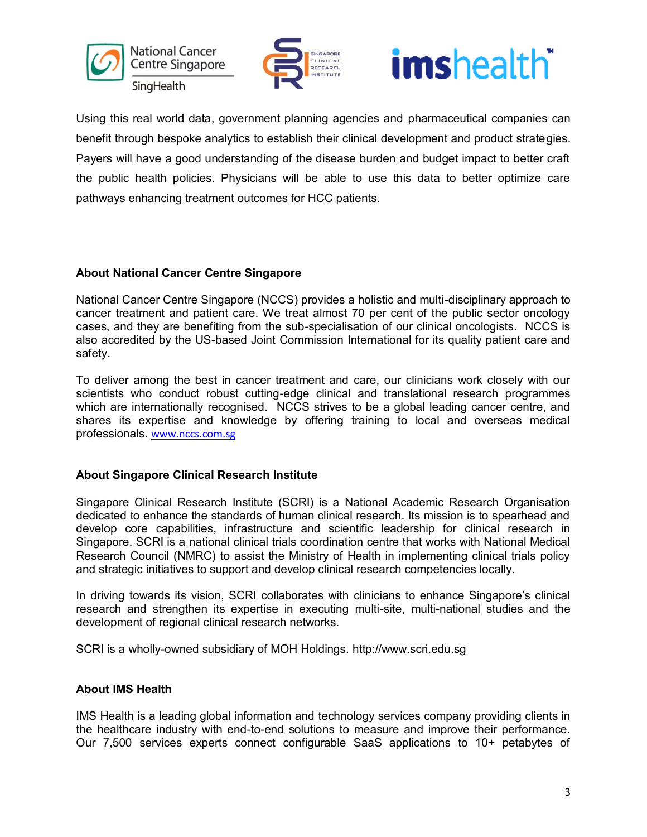







Using this real world data, government planning agencies and pharmaceutical companies can benefit through bespoke analytics to establish their clinical development and product strategies. Payers will have a good understanding of the disease burden and budget impact to better craft the public health policies. Physicians will be able to use this data to better optimize care pathways enhancing treatment outcomes for HCC patients.

#### **About National Cancer Centre Singapore**

National Cancer Centre Singapore (NCCS) provides a holistic and multi-disciplinary approach to cancer treatment and patient care. We treat almost 70 per cent of the public sector oncology cases, and they are benefiting from the sub-specialisation of our clinical oncologists. NCCS is also accredited by the US-based Joint Commission International for its quality patient care and safety.

To deliver among the best in cancer treatment and care, our clinicians work closely with our scientists who conduct robust cutting-edge clinical and translational research programmes which are internationally recognised. NCCS strives to be a global leading cancer centre, and shares its expertise and knowledge by offering training to local and overseas medical professionals. [www.nccs.com.sg](http://www.nccs.com.sg/)

#### **About Singapore Clinical Research Institute**

Singapore Clinical Research Institute (SCRI) is a National Academic Research Organisation dedicated to enhance the standards of human clinical research. Its mission is to spearhead and develop core capabilities, infrastructure and scientific leadership for clinical research in Singapore. SCRI is a national clinical trials coordination centre that works with National Medical Research Council (NMRC) to assist the Ministry of Health in implementing clinical trials policy and strategic initiatives to support and develop clinical research competencies locally.

In driving towards its vision, SCRI collaborates with clinicians to enhance Singapore's clinical research and strengthen its expertise in executing multi-site, multi-national studies and the development of regional clinical research networks.

SCRI is a wholly-owned subsidiary of MOH Holdings. [http://www.scri.edu.sg](http://www.scri.edu.sg/)

#### **About IMS Health**

IMS Health is a leading global information and technology services company providing clients in the healthcare industry with end-to-end solutions to measure and improve their performance. Our 7,500 services experts connect configurable SaaS applications to 10+ petabytes of